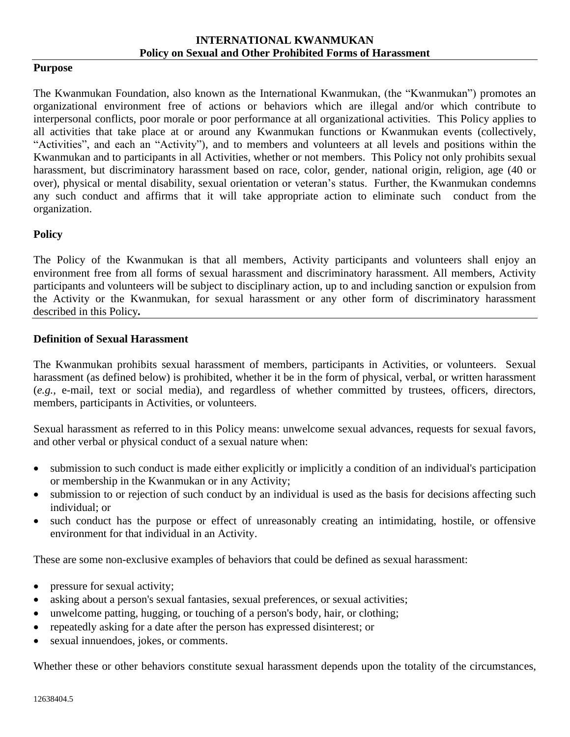#### **Purpose**

The Kwanmukan Foundation, also known as the International Kwanmukan, (the "Kwanmukan") promotes an organizational environment free of actions or behaviors which are illegal and/or which contribute to interpersonal conflicts, poor morale or poor performance at all organizational activities. This Policy applies to all activities that take place at or around any Kwanmukan functions or Kwanmukan events (collectively, "Activities", and each an "Activity"), and to members and volunteers at all levels and positions within the Kwanmukan and to participants in all Activities, whether or not members. This Policy not only prohibits sexual harassment, but discriminatory harassment based on race, color, gender, national origin, religion, age (40 or over), physical or mental disability, sexual orientation or veteran's status. Further, the Kwanmukan condemns any such conduct and affirms that it will take appropriate action to eliminate such conduct from the organization.

### **Policy**

The Policy of the Kwanmukan is that all members, Activity participants and volunteers shall enjoy an environment free from all forms of sexual harassment and discriminatory harassment. All members, Activity participants and volunteers will be subject to disciplinary action, up to and including sanction or expulsion from the Activity or the Kwanmukan, for sexual harassment or any other form of discriminatory harassment described in this Policy*.*

### **Definition of Sexual Harassment**

The Kwanmukan prohibits sexual harassment of members, participants in Activities, or volunteers. Sexual harassment (as defined below) is prohibited, whether it be in the form of physical, verbal, or written harassment (*e.g.*, e-mail, text or social media), and regardless of whether committed by trustees, officers, directors, members, participants in Activities, or volunteers.

Sexual harassment as referred to in this Policy means: unwelcome sexual advances, requests for sexual favors, and other verbal or physical conduct of a sexual nature when:

- submission to such conduct is made either explicitly or implicitly a condition of an individual's participation or membership in the Kwanmukan or in any Activity;
- submission to or rejection of such conduct by an individual is used as the basis for decisions affecting such individual; or
- such conduct has the purpose or effect of unreasonably creating an intimidating, hostile, or offensive environment for that individual in an Activity.

These are some non-exclusive examples of behaviors that could be defined as sexual harassment:

- pressure for sexual activity;
- asking about a person's sexual fantasies, sexual preferences, or sexual activities;
- unwelcome patting, hugging, or touching of a person's body, hair, or clothing;
- repeatedly asking for a date after the person has expressed disinterest; or
- sexual innuendoes, jokes, or comments.

Whether these or other behaviors constitute sexual harassment depends upon the totality of the circumstances,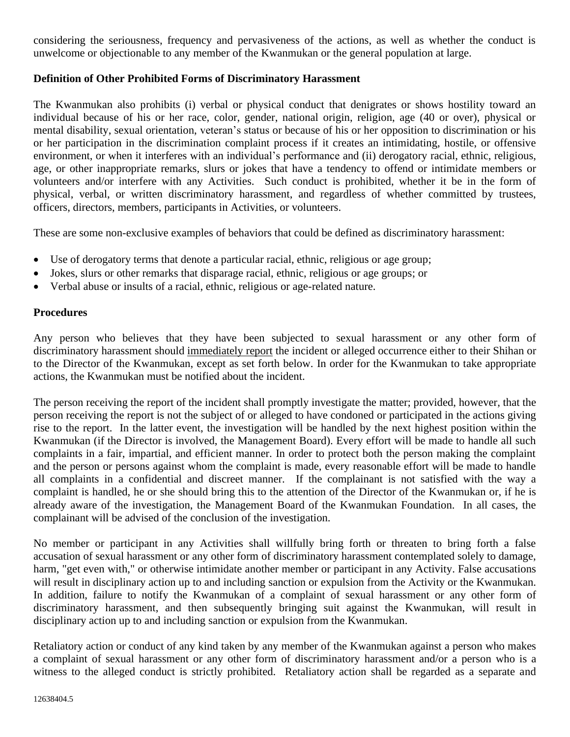considering the seriousness, frequency and pervasiveness of the actions, as well as whether the conduct is unwelcome or objectionable to any member of the Kwanmukan or the general population at large.

# **Definition of Other Prohibited Forms of Discriminatory Harassment**

The Kwanmukan also prohibits (i) verbal or physical conduct that denigrates or shows hostility toward an individual because of his or her race, color, gender, national origin, religion, age (40 or over), physical or mental disability, sexual orientation, veteran's status or because of his or her opposition to discrimination or his or her participation in the discrimination complaint process if it creates an intimidating, hostile, or offensive environment, or when it interferes with an individual's performance and (ii) derogatory racial, ethnic, religious, age, or other inappropriate remarks, slurs or jokes that have a tendency to offend or intimidate members or volunteers and/or interfere with any Activities. Such conduct is prohibited, whether it be in the form of physical, verbal, or written discriminatory harassment, and regardless of whether committed by trustees, officers, directors, members, participants in Activities, or volunteers.

These are some non-exclusive examples of behaviors that could be defined as discriminatory harassment:

- Use of derogatory terms that denote a particular racial, ethnic, religious or age group;
- Jokes, slurs or other remarks that disparage racial, ethnic, religious or age groups; or
- Verbal abuse or insults of a racial, ethnic, religious or age-related nature.

# **Procedures**

Any person who believes that they have been subjected to sexual harassment or any other form of discriminatory harassment should immediately report the incident or alleged occurrence either to their Shihan or to the Director of the Kwanmukan, except as set forth below. In order for the Kwanmukan to take appropriate actions, the Kwanmukan must be notified about the incident.

The person receiving the report of the incident shall promptly investigate the matter; provided, however, that the person receiving the report is not the subject of or alleged to have condoned or participated in the actions giving rise to the report. In the latter event, the investigation will be handled by the next highest position within the Kwanmukan (if the Director is involved, the Management Board). Every effort will be made to handle all such complaints in a fair, impartial, and efficient manner. In order to protect both the person making the complaint and the person or persons against whom the complaint is made, every reasonable effort will be made to handle all complaints in a confidential and discreet manner. If the complainant is not satisfied with the way a complaint is handled, he or she should bring this to the attention of the Director of the Kwanmukan or, if he is already aware of the investigation, the Management Board of the Kwanmukan Foundation. In all cases, the complainant will be advised of the conclusion of the investigation.

No member or participant in any Activities shall willfully bring forth or threaten to bring forth a false accusation of sexual harassment or any other form of discriminatory harassment contemplated solely to damage, harm, "get even with," or otherwise intimidate another member or participant in any Activity. False accusations will result in disciplinary action up to and including sanction or expulsion from the Activity or the Kwanmukan. In addition, failure to notify the Kwanmukan of a complaint of sexual harassment or any other form of discriminatory harassment, and then subsequently bringing suit against the Kwanmukan, will result in disciplinary action up to and including sanction or expulsion from the Kwanmukan.

Retaliatory action or conduct of any kind taken by any member of the Kwanmukan against a person who makes a complaint of sexual harassment or any other form of discriminatory harassment and/or a person who is a witness to the alleged conduct is strictly prohibited. Retaliatory action shall be regarded as a separate and